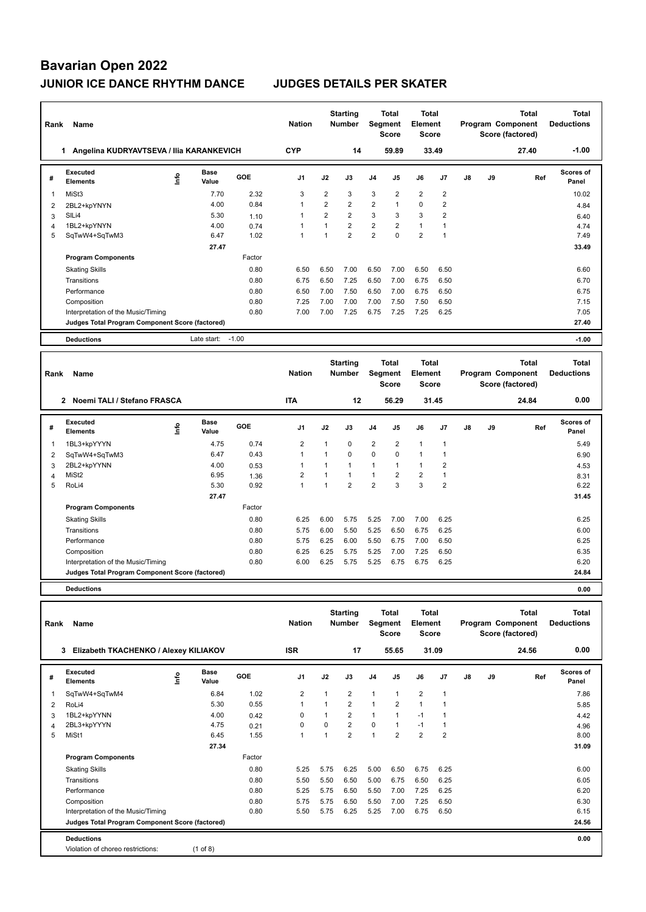| Rank           | Name                                            |                              |         | <b>Nation</b>  |                | <b>Starting</b><br><b>Number</b> | Segment        | <b>Total</b><br><b>Score</b> | <b>Total</b><br><b>Element</b><br><b>Score</b> |                |               |    | <b>Total</b><br>Program Component<br>Score (factored) | <b>Total</b><br><b>Deductions</b> |
|----------------|-------------------------------------------------|------------------------------|---------|----------------|----------------|----------------------------------|----------------|------------------------------|------------------------------------------------|----------------|---------------|----|-------------------------------------------------------|-----------------------------------|
|                | Angelina KUDRYAVTSEVA / Ilia KARANKEVICH<br>1   |                              |         | <b>CYP</b>     |                | 14                               |                | 59.89                        | 33.49                                          |                |               |    | 27.40                                                 | $-1.00$                           |
| #              | Executed<br><b>Elements</b>                     | <b>Base</b><br>lnfo<br>Value | GOE     | J <sub>1</sub> | J2             | J3                               | J <sub>4</sub> | J5                           | J6                                             | J7             | $\mathsf{J}8$ | J9 | Ref                                                   | <b>Scores of</b><br>Panel         |
| 1              | MiSt3                                           | 7.70                         | 2.32    | 3              | 2              | 3                                | 3              | 2                            | $\overline{2}$                                 | $\overline{2}$ |               |    |                                                       | 10.02                             |
| 2              | 2BL2+kpYNYN                                     | 4.00                         | 0.84    | 1              | $\overline{2}$ | $\overline{2}$                   | $\overline{2}$ | 1                            | 0                                              | $\overline{2}$ |               |    |                                                       | 4.84                              |
| 3              | SILi4                                           | 5.30                         | 1.10    | $\mathbf{1}$   | $\overline{2}$ | $\overline{2}$                   | 3              | 3                            | 3                                              | $\overline{2}$ |               |    |                                                       | 6.40                              |
| $\overline{4}$ | 1BL2+kpYNYN                                     | 4.00                         | 0.74    |                |                | $\overline{2}$                   | $\overline{2}$ | $\overline{2}$               | $\mathbf{1}$                                   | 1              |               |    |                                                       | 4.74                              |
| 5              | SqTwW4+SqTwM3                                   | 6.47                         | 1.02    | $\mathbf{1}$   |                | $\overline{2}$                   | $\overline{2}$ | $\mathbf 0$                  | $\overline{2}$                                 | $\overline{1}$ |               |    |                                                       | 7.49                              |
|                |                                                 | 27.47                        |         |                |                |                                  |                |                              |                                                |                |               |    |                                                       | 33.49                             |
|                | <b>Program Components</b>                       |                              | Factor  |                |                |                                  |                |                              |                                                |                |               |    |                                                       |                                   |
|                | <b>Skating Skills</b>                           |                              | 0.80    | 6.50           | 6.50           | 7.00                             | 6.50           | 7.00                         | 6.50                                           | 6.50           |               |    |                                                       | 6.60                              |
|                | Transitions                                     |                              | 0.80    | 6.75           | 6.50           | 7.25                             | 6.50           | 7.00                         | 6.75                                           | 6.50           |               |    |                                                       | 6.70                              |
|                | Performance                                     |                              | 0.80    | 6.50           | 7.00           | 7.50                             | 6.50           | 7.00                         | 6.75                                           | 6.50           |               |    |                                                       | 6.75                              |
|                | Composition                                     |                              | 0.80    | 7.25           | 7.00           | 7.00                             | 7.00           | 7.50                         | 7.50                                           | 6.50           |               |    |                                                       | 7.15                              |
|                | Interpretation of the Music/Timing              |                              | 0.80    | 7.00           | 7.00           | 7.25                             | 6.75           | 7.25                         | 7.25                                           | 6.25           |               |    |                                                       | 7.05                              |
|                | Judges Total Program Component Score (factored) |                              |         |                |                |                                  |                |                              |                                                |                |               |    |                                                       | 27.40                             |
|                | <b>Deductions</b>                               | Late start:                  | $-1.00$ |                |                |                                  |                |                              |                                                |                |               |    |                                                       | $-1.00$                           |
| Rank           | Name                                            |                              |         | <b>Nation</b>  |                | <b>Starting</b><br><b>Number</b> | Segment        | <b>Total</b>                 | <b>Total</b><br>Element                        |                |               |    | <b>Total</b><br>Program Component                     | <b>Total</b><br><b>Deductions</b> |

|   |                                                 |   |               |            |                |      |                |                | <b>Score</b>   | <b>Score</b>   |                |    |    | Score (factored) |                           |
|---|-------------------------------------------------|---|---------------|------------|----------------|------|----------------|----------------|----------------|----------------|----------------|----|----|------------------|---------------------------|
|   | $\overline{2}$<br>Noemi TALI / Stefano FRASCA   |   |               |            | <b>ITA</b>     |      | 12             |                | 56.29          |                | 31.45          |    |    | 24.84            | 0.00                      |
| # | Executed<br><b>Elements</b>                     | ۴ | Base<br>Value | <b>GOE</b> | J <sub>1</sub> | J2   | J3             | J <sub>4</sub> | J <sub>5</sub> | J6             | J7             | J8 | J9 | Ref              | <b>Scores of</b><br>Panel |
|   | 1BL3+kpYYYN                                     |   | 4.75          | 0.74       | 2              |      | 0              | 2              | $\overline{2}$ | 1              |                |    |    |                  | 5.49                      |
| 2 | SqTwW4+SqTwM3                                   |   | 6.47          | 0.43       | $\overline{1}$ | 1    | $\mathbf 0$    | $\mathbf 0$    | $\mathbf 0$    | 1              |                |    |    |                  | 6.90                      |
| 3 | 2BL2+kpYYNN                                     |   | 4.00          | 0.53       |                | 4    |                | $\mathbf{1}$   | $\mathbf{1}$   | 1              | 2              |    |    |                  | 4.53                      |
| 4 | MiSt <sub>2</sub>                               |   | 6.95          | 1.36       | $\overline{2}$ |      |                | $\mathbf{1}$   | $\overline{2}$ | $\overline{2}$ |                |    |    |                  | 8.31                      |
| 5 | RoLi4                                           |   | 5.30          | 0.92       | 1              | 4    | $\overline{2}$ | $\overline{2}$ | 3              | 3              | $\overline{2}$ |    |    |                  | 6.22                      |
|   |                                                 |   | 27.47         |            |                |      |                |                |                |                |                |    |    |                  | 31.45                     |
|   | <b>Program Components</b>                       |   |               | Factor     |                |      |                |                |                |                |                |    |    |                  |                           |
|   | <b>Skating Skills</b>                           |   |               | 0.80       | 6.25           | 6.00 | 5.75           | 5.25           | 7.00           | 7.00           | 6.25           |    |    |                  | 6.25                      |
|   | Transitions                                     |   |               | 0.80       | 5.75           | 6.00 | 5.50           | 5.25           | 6.50           | 6.75           | 6.25           |    |    |                  | 6.00                      |
|   | Performance                                     |   |               | 0.80       | 5.75           | 6.25 | 6.00           | 5.50           | 6.75           | 7.00           | 6.50           |    |    |                  | 6.25                      |
|   | Composition                                     |   |               | 0.80       | 6.25           | 6.25 | 5.75           | 5.25           | 7.00           | 7.25           | 6.50           |    |    |                  | 6.35                      |
|   | Interpretation of the Music/Timing              |   |               | 0.80       | 6.00           | 6.25 | 5.75           | 5.25           | 6.75           | 6.75           | 6.25           |    |    |                  | 6.20                      |
|   | Judges Total Program Component Score (factored) |   |               |            |                |      |                |                |                |                |                |    |    |                  | 24.84                     |
|   | <b>Deductions</b>                               |   |               |            |                |      |                |                |                |                |                |    |    |                  | 0.00                      |

| Rank | <b>Name</b>                                     |            | <b>Nation</b>        |            | <b>Starting</b><br><b>Number</b> | <b>Segment</b> | Total<br><b>Score</b> | <b>Total</b><br>Element<br><b>Score</b> |                |                |                | Total<br>Program Component<br>Score (factored) | Total<br><b>Deductions</b> |       |                           |
|------|-------------------------------------------------|------------|----------------------|------------|----------------------------------|----------------|-----------------------|-----------------------------------------|----------------|----------------|----------------|------------------------------------------------|----------------------------|-------|---------------------------|
|      | Elizabeth TKACHENKO / Alexey KILIAKOV<br>3      |            |                      |            | <b>ISR</b>                       |                | 17                    |                                         | 55.65          | 31.09          |                |                                                |                            | 24.56 | 0.00                      |
| #    | <b>Executed</b><br><b>Elements</b>              | ١m         | <b>Base</b><br>Value | <b>GOE</b> | J <sub>1</sub>                   | J2             | J3                    | J4                                      | J <sub>5</sub> | J6             | J7             | $\mathsf{J}8$                                  | J9                         | Ref   | <b>Scores of</b><br>Panel |
| 1    | SqTwW4+SqTwM4                                   |            | 6.84                 | 1.02       | 2                                | 1              | 2                     | $\mathbf{1}$                            | $\mathbf{1}$   | $\overline{2}$ | $\overline{1}$ |                                                |                            |       | 7.86                      |
| 2    | RoLi4                                           |            | 5.30                 | 0.55       | $\mathbf{1}$                     | 1              | $\overline{2}$        | $\overline{1}$                          | $\overline{2}$ | $\mathbf{1}$   | 1              |                                                |                            |       | 5.85                      |
| 3    | 1BL2+kpYYNN                                     |            | 4.00                 | 0.42       | $\mathbf 0$                      |                | $\overline{2}$        | $\mathbf{1}$                            | $\mathbf{1}$   | $-1$           | $\overline{1}$ |                                                |                            |       | 4.42                      |
| 4    | 2BL3+kpYYYN                                     |            | 4.75                 | 0.21       | 0                                | 0              | $\overline{2}$        | $\mathbf 0$                             | $\mathbf{1}$   | $-1$           | 1              |                                                |                            |       | 4.96                      |
| 5    | MiSt1                                           |            | 6.45                 | 1.55       | $\mathbf{1}$                     | 1              | $\overline{2}$        | $\overline{1}$                          | $\overline{2}$ | $\overline{2}$ | $\overline{2}$ |                                                |                            |       | 8.00                      |
|      |                                                 |            | 27.34                |            |                                  |                |                       |                                         |                |                |                |                                                |                            |       | 31.09                     |
|      | <b>Program Components</b>                       |            |                      | Factor     |                                  |                |                       |                                         |                |                |                |                                                |                            |       |                           |
|      | <b>Skating Skills</b>                           |            |                      | 0.80       | 5.25                             | 5.75           | 6.25                  | 5.00                                    | 6.50           | 6.75           | 6.25           |                                                |                            |       | 6.00                      |
|      | Transitions                                     |            |                      | 0.80       | 5.50                             | 5.50           | 6.50                  | 5.00                                    | 6.75           | 6.50           | 6.25           |                                                |                            |       | 6.05                      |
|      | Performance                                     |            |                      | 0.80       | 5.25                             | 5.75           | 6.50                  | 5.50                                    | 7.00           | 7.25           | 6.25           |                                                |                            |       | 6.20                      |
|      | Composition                                     |            |                      | 0.80       | 5.75                             | 5.75           | 6.50                  | 5.50                                    | 7.00           | 7.25           | 6.50           |                                                |                            |       | 6.30                      |
|      | Interpretation of the Music/Timing              |            |                      | 0.80       | 5.50                             | 5.75           | 6.25                  | 5.25                                    | 7.00           | 6.75           | 6.50           |                                                |                            |       | 6.15                      |
|      | Judges Total Program Component Score (factored) |            |                      |            |                                  |                |                       |                                         |                |                |                |                                                |                            |       | 24.56                     |
|      | <b>Deductions</b>                               |            |                      |            |                                  |                |                       |                                         |                |                |                |                                                |                            |       | 0.00                      |
|      | Violation of choreo restrictions:               | $(1$ of 8) |                      |            |                                  |                |                       |                                         |                |                |                |                                                |                            |       |                           |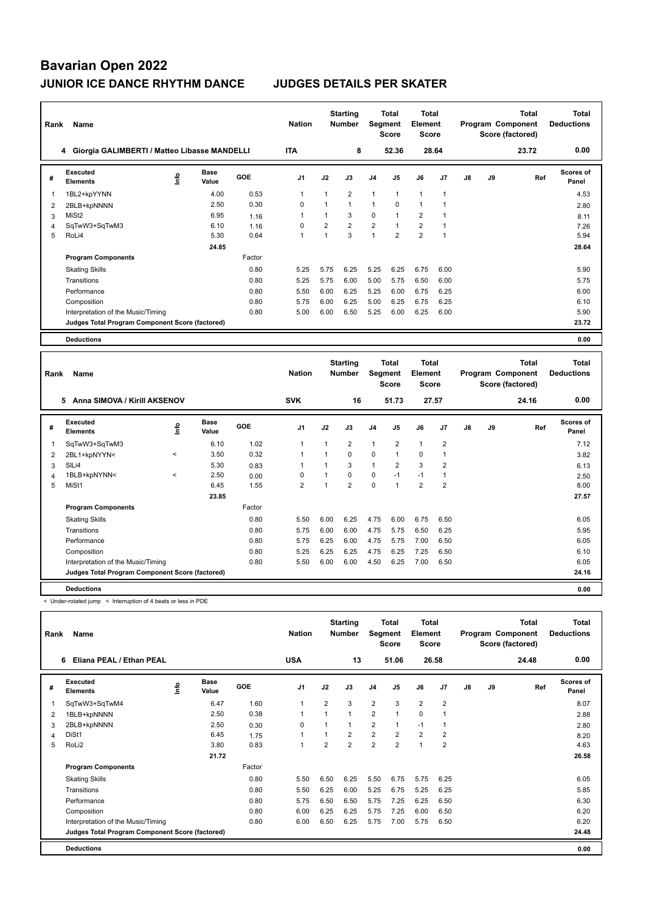| Rank | Name                                            |      |                      |        | <b>Nation</b>  |                | <b>Starting</b><br><b>Number</b> | <b>Segment</b> | <b>Total</b><br>Score | Total<br>Element<br><b>Score</b> |      |    |    | <b>Total</b><br>Program Component<br>Score (factored) | <b>Total</b><br><b>Deductions</b> |
|------|-------------------------------------------------|------|----------------------|--------|----------------|----------------|----------------------------------|----------------|-----------------------|----------------------------------|------|----|----|-------------------------------------------------------|-----------------------------------|
|      | 4 Giorgia GALIMBERTI / Matteo Libasse MANDELLI  |      |                      |        | <b>ITA</b>     |                | 8                                |                | 52.36                 | 28.64                            |      |    |    | 23.72                                                 | 0.00                              |
| #    | Executed<br><b>Elements</b>                     | lnfo | <b>Base</b><br>Value | GOE    | J <sub>1</sub> | J2             | J3                               | J <sub>4</sub> | J5                    | J6                               | J7   | J8 | J9 | Ref                                                   | <b>Scores of</b><br>Panel         |
| 1    | 1BL2+kpYYNN                                     |      | 4.00                 | 0.53   | 1              |                | $\overline{2}$                   | $\overline{1}$ | 1                     | $\mathbf{1}$                     | 1    |    |    |                                                       | 4.53                              |
| 2    | 2BLB+kpNNNN                                     |      | 2.50                 | 0.30   | $\Omega$       | $\overline{1}$ | 1                                | $\overline{1}$ | $\Omega$              | $\overline{1}$                   |      |    |    |                                                       | 2.80                              |
| 3    | MiSt <sub>2</sub>                               |      | 6.95                 | 1.16   | $\overline{1}$ | 1              | 3                                | $\mathbf 0$    |                       | $\overline{2}$                   |      |    |    |                                                       | 8.11                              |
| 4    | SqTwW3+SqTwM3                                   |      | 6.10                 | 1.16   | 0              | $\overline{2}$ | $\overline{2}$                   | 2              | $\overline{ }$        | $\overline{2}$                   |      |    |    |                                                       | 7.26                              |
| 5    | RoLi4                                           |      | 5.30                 | 0.64   | $\mathbf{1}$   | $\overline{ }$ | 3                                | 1              | $\overline{2}$        | $\overline{2}$                   | 1    |    |    |                                                       | 5.94                              |
|      |                                                 |      | 24.85                |        |                |                |                                  |                |                       |                                  |      |    |    |                                                       | 28.64                             |
|      | <b>Program Components</b>                       |      |                      | Factor |                |                |                                  |                |                       |                                  |      |    |    |                                                       |                                   |
|      | <b>Skating Skills</b>                           |      |                      | 0.80   | 5.25           | 5.75           | 6.25                             | 5.25           | 6.25                  | 6.75                             | 6.00 |    |    |                                                       | 5.90                              |
|      | Transitions                                     |      |                      | 0.80   | 5.25           | 5.75           | 6.00                             | 5.00           | 5.75                  | 6.50                             | 6.00 |    |    |                                                       | 5.75                              |
|      | Performance                                     |      |                      | 0.80   | 5.50           | 6.00           | 6.25                             | 5.25           | 6.00                  | 6.75                             | 6.25 |    |    |                                                       | 6.00                              |
|      | Composition                                     |      |                      | 0.80   | 5.75           | 6.00           | 6.25                             | 5.00           | 6.25                  | 6.75                             | 6.25 |    |    |                                                       | 6.10                              |
|      | Interpretation of the Music/Timing              |      |                      | 0.80   | 5.00           | 6.00           | 6.50                             | 5.25           | 6.00                  | 6.25                             | 6.00 |    |    |                                                       | 5.90                              |
|      | Judges Total Program Component Score (factored) |      |                      |        |                |                |                                  |                |                       |                                  |      |    |    |                                                       | 23.72                             |
|      | <b>Deductions</b>                               |      |                      |        |                |                |                                  |                |                       |                                  |      |    |    |                                                       | 0.00                              |

| Rank | Name                                            |         | <b>Nation</b>        |        | <b>Starting</b><br><b>Number</b> | Segment | Total<br><b>Score</b> | <b>Total</b><br>Element<br><b>Score</b> |                |                |                | <b>Total</b><br>Program Component<br>Score (factored) | Total<br><b>Deductions</b> |       |                           |
|------|-------------------------------------------------|---------|----------------------|--------|----------------------------------|---------|-----------------------|-----------------------------------------|----------------|----------------|----------------|-------------------------------------------------------|----------------------------|-------|---------------------------|
|      | Anna SIMOVA / Kirill AKSENOV<br>5               |         |                      |        | <b>SVK</b>                       |         | 16                    |                                         | 51.73          | 27.57          |                |                                                       |                            | 24.16 | 0.00                      |
| #    | Executed<br><b>Elements</b>                     | ١nf٥    | <b>Base</b><br>Value | GOE    | J <sub>1</sub>                   | J2      | J3                    | J <sub>4</sub>                          | J <sub>5</sub> | J6             | J <sub>7</sub> | $\mathsf{J}8$                                         | J9                         | Ref   | <b>Scores of</b><br>Panel |
| 1    | SqTwW3+SqTwM3                                   |         | 6.10                 | 1.02   | $\mathbf{1}$                     |         | $\overline{2}$        | $\mathbf{1}$                            | $\overline{2}$ | $\mathbf{1}$   | $\overline{2}$ |                                                       |                            |       | 7.12                      |
| 2    | 2BL1+kpNYYN<                                    | $\prec$ | 3.50                 | 0.32   | $\mathbf{1}$                     |         | 0                     | 0                                       | 1              | 0              | 1              |                                                       |                            |       | 3.82                      |
| 3    | SILi4                                           |         | 5.30                 | 0.83   | -1                               |         | 3                     | $\mathbf{1}$                            | $\overline{2}$ | 3              | $\overline{2}$ |                                                       |                            |       | 6.13                      |
| 4    | 1BLB+kpNYNN<                                    | $\prec$ | 2.50                 | 0.00   | 0                                |         | 0                     | $\mathbf 0$                             | $-1$           | $-1$           | 1              |                                                       |                            |       | 2.50                      |
| 5    | MiSt1                                           |         | 6.45                 | 1.55   | $\overline{2}$                   |         | $\overline{2}$        | $\pmb{0}$                               |                | $\overline{2}$ | $\overline{2}$ |                                                       |                            |       | 8.00                      |
|      |                                                 |         | 23.85                |        |                                  |         |                       |                                         |                |                |                |                                                       |                            |       | 27.57                     |
|      | <b>Program Components</b>                       |         |                      | Factor |                                  |         |                       |                                         |                |                |                |                                                       |                            |       |                           |
|      | <b>Skating Skills</b>                           |         |                      | 0.80   | 5.50                             | 6.00    | 6.25                  | 4.75                                    | 6.00           | 6.75           | 6.50           |                                                       |                            |       | 6.05                      |
|      | Transitions                                     |         |                      | 0.80   | 5.75                             | 6.00    | 6.00                  | 4.75                                    | 5.75           | 6.50           | 6.25           |                                                       |                            |       | 5.95                      |
|      | Performance                                     |         |                      | 0.80   | 5.75                             | 6.25    | 6.00                  | 4.75                                    | 5.75           | 7.00           | 6.50           |                                                       |                            |       | 6.05                      |
|      | Composition                                     |         |                      | 0.80   | 5.25                             | 6.25    | 6.25                  | 4.75                                    | 6.25           | 7.25           | 6.50           |                                                       |                            |       | 6.10                      |
|      | Interpretation of the Music/Timing              |         |                      | 0.80   | 5.50                             | 6.00    | 6.00                  | 4.50                                    | 6.25           | 7.00           | 6.50           |                                                       |                            |       | 6.05                      |
|      | Judges Total Program Component Score (factored) |         |                      |        |                                  |         |                       |                                         |                |                |                |                                                       |                            |       | 24.16                     |
|      | <b>Deductions</b>                               |         |                      |        |                                  |         |                       |                                         |                |                |                |                                                       |                            |       | 0.00                      |

< Under-rotated jump < Interruption of 4 beats or less in PDE

| Rank | Name                                            |      | <b>Nation</b>        |        | <b>Starting</b><br><b>Number</b> | <b>Segment</b> | Total<br><b>Score</b> | <b>Total</b><br>Element<br><b>Score</b> |                |                |                | <b>Total</b><br>Program Component<br>Score (factored) | <b>Total</b><br><b>Deductions</b> |       |                           |
|------|-------------------------------------------------|------|----------------------|--------|----------------------------------|----------------|-----------------------|-----------------------------------------|----------------|----------------|----------------|-------------------------------------------------------|-----------------------------------|-------|---------------------------|
|      | Eliana PEAL / Ethan PEAL<br>6                   |      |                      |        | <b>USA</b>                       |                | 13                    |                                         | 51.06          | 26.58          |                |                                                       |                                   | 24.48 | 0.00                      |
| #    | Executed<br><b>Elements</b>                     | ١nfo | <b>Base</b><br>Value | GOE    | J <sub>1</sub>                   | J2             | J3                    | J <sub>4</sub>                          | J <sub>5</sub> | J6             | J <sub>7</sub> | J8                                                    | J9                                | Ref   | <b>Scores of</b><br>Panel |
| 1    | SqTwW3+SqTwM4                                   |      | 6.47                 | 1.60   | $\mathbf{1}$                     | $\overline{2}$ | 3                     | $\overline{2}$                          | 3              | $\overline{2}$ | $\overline{2}$ |                                                       |                                   |       | 8.07                      |
| 2    | 1BLB+kpNNNN                                     |      | 2.50                 | 0.38   | 1                                | 1              | $\mathbf{1}$          | $\overline{2}$                          | $\mathbf{1}$   | $\Omega$       | 1              |                                                       |                                   |       | 2.88                      |
| 3    | 2BLB+kpNNNN                                     |      | 2.50                 | 0.30   | $\mathbf 0$                      |                | 1                     | $\overline{2}$                          | $\mathbf{1}$   | $-1$           | -1             |                                                       |                                   |       | 2.80                      |
| 4    | DiSt1                                           |      | 6.45                 | 1.75   | -1                               |                | $\overline{2}$        | $\overline{2}$                          | 2              | $\overline{2}$ | $\overline{2}$ |                                                       |                                   |       | 8.20                      |
| 5    | RoLi2                                           |      | 3.80                 | 0.83   | $\mathbf{1}$                     | $\overline{2}$ | $\overline{2}$        | $\overline{2}$                          | $\overline{2}$ | $\overline{1}$ | $\overline{2}$ |                                                       |                                   |       | 4.63                      |
|      |                                                 |      | 21.72                |        |                                  |                |                       |                                         |                |                |                |                                                       |                                   |       | 26.58                     |
|      | <b>Program Components</b>                       |      |                      | Factor |                                  |                |                       |                                         |                |                |                |                                                       |                                   |       |                           |
|      | <b>Skating Skills</b>                           |      |                      | 0.80   | 5.50                             | 6.50           | 6.25                  | 5.50                                    | 6.75           | 5.75           | 6.25           |                                                       |                                   |       | 6.05                      |
|      | Transitions                                     |      |                      | 0.80   | 5.50                             | 6.25           | 6.00                  | 5.25                                    | 6.75           | 5.25           | 6.25           |                                                       |                                   |       | 5.85                      |
|      | Performance                                     |      |                      | 0.80   | 5.75                             | 6.50           | 6.50                  | 5.75                                    | 7.25           | 6.25           | 6.50           |                                                       |                                   |       | 6.30                      |
|      | Composition                                     |      |                      | 0.80   | 6.00                             | 6.25           | 6.25                  | 5.75                                    | 7.25           | 6.00           | 6.50           |                                                       |                                   |       | 6.20                      |
|      | Interpretation of the Music/Timing              |      |                      | 0.80   | 6.00                             | 6.50           | 6.25                  | 5.75                                    | 7.00           | 5.75           | 6.50           |                                                       |                                   |       | 6.20                      |
|      | Judges Total Program Component Score (factored) |      |                      |        |                                  |                |                       |                                         |                |                |                |                                                       |                                   |       | 24.48                     |
|      | <b>Deductions</b>                               |      |                      |        |                                  |                |                       |                                         |                |                |                |                                                       |                                   |       | 0.00                      |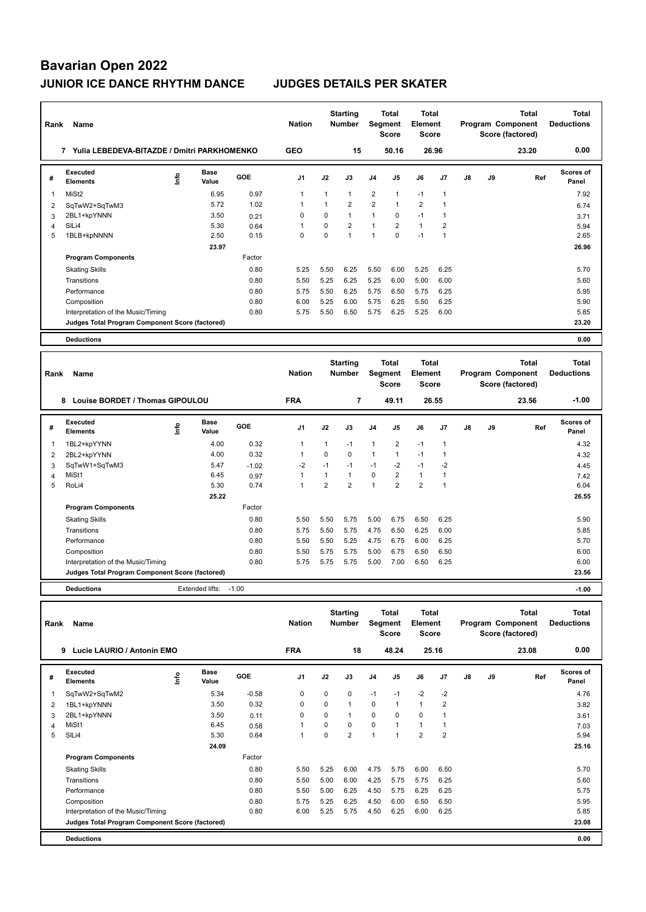| Rank           | Name                                            |      | <b>Nation</b>        |         | <b>Starting</b><br><b>Number</b> | Segment        | Total<br><b>Score</b> | <b>Total</b><br>Element<br><b>Score</b> |                         |                         | Program Component<br>Score (factored) | <b>Total</b> | <b>Total</b><br><b>Deductions</b> |              |                           |
|----------------|-------------------------------------------------|------|----------------------|---------|----------------------------------|----------------|-----------------------|-----------------------------------------|-------------------------|-------------------------|---------------------------------------|--------------|-----------------------------------|--------------|---------------------------|
|                | 7 Yulia LEBEDEVA-BITAZDE / Dmitri PARKHOMENKO   |      |                      |         | <b>GEO</b>                       |                | 15                    |                                         | 50.16                   |                         | 26.96                                 |              |                                   | 23.20        | 0.00                      |
| #              | <b>Executed</b><br><b>Elements</b>              | ۴    | Base<br>Value        | GOE     | J <sub>1</sub>                   | J2             | J3                    | J4                                      | J5                      | J6                      | J <sub>7</sub>                        | J8           | J9                                | Ref          | Scores of<br>Panel        |
| 1              | MiSt <sub>2</sub>                               |      | 6.95                 | 0.97    | $\mathbf{1}$                     | $\mathbf{1}$   | $\mathbf{1}$          | $\overline{2}$                          | 1                       | $-1$                    | $\overline{1}$                        |              |                                   |              | 7.92                      |
| 2              | SqTwW2+SqTwM3                                   |      | 5.72                 | 1.02    | $\overline{1}$                   | 1              | $\overline{2}$        | $\overline{2}$                          | $\mathbf{1}$            | $\overline{2}$          | $\overline{1}$                        |              |                                   |              | 6.74                      |
| 3              | 2BL1+kpYNNN                                     |      | 3.50                 | 0.21    | $\Omega$                         | $\Omega$       | $\mathbf{1}$          | $\mathbf{1}$                            | $\Omega$                | $-1$                    | $\overline{1}$                        |              |                                   |              | 3.71                      |
| 4              | SILi4                                           |      | 5.30                 | 0.64    | $\mathbf{1}$                     | $\mathbf 0$    | $\overline{2}$        | $\mathbf{1}$                            | $\overline{2}$          | $\mathbf{1}$            | $\overline{2}$                        |              |                                   |              | 5.94                      |
| 5              | 1BLB+kpNNNN                                     |      | 2.50                 | 0.15    | $\Omega$                         | $\Omega$       | $\mathbf{1}$          | $\mathbf{1}$                            | $\Omega$                | $-1$                    | $\overline{1}$                        |              |                                   |              | 2.65                      |
|                |                                                 |      | 23.97                |         |                                  |                |                       |                                         |                         |                         |                                       |              |                                   |              | 26.96                     |
|                | <b>Program Components</b>                       |      |                      | Factor  |                                  |                |                       |                                         |                         |                         |                                       |              |                                   |              |                           |
|                | <b>Skating Skills</b>                           |      |                      | 0.80    | 5.25                             | 5.50           | 6.25                  | 5.50                                    | 6.00                    | 5.25                    | 6.25                                  |              |                                   |              | 5.70                      |
|                | Transitions                                     |      |                      | 0.80    | 5.50                             | 5.25           | 6.25                  | 5.25                                    | 6.00                    | 5.00                    | 6.00                                  |              |                                   |              | 5.60                      |
|                | Performance                                     |      |                      | 0.80    | 5.75                             | 5.50           | 6.25                  | 5.75                                    | 6.50                    | 5.75                    | 6.25                                  |              |                                   |              | 5.95                      |
|                | Composition                                     |      |                      | 0.80    | 6.00                             | 5.25           | 6.00                  | 5.75                                    | 6.25                    | 5.50                    | 6.25                                  |              |                                   |              | 5.90                      |
|                | Interpretation of the Music/Timing              |      |                      | 0.80    | 5.75                             | 5.50           | 6.50                  | 5.75                                    | 6.25                    | 5.25                    | 6.00                                  |              |                                   |              | 5.85                      |
|                | Judges Total Program Component Score (factored) |      |                      |         |                                  |                |                       |                                         |                         |                         |                                       |              |                                   |              | 23.20                     |
|                |                                                 |      |                      |         |                                  |                |                       |                                         |                         |                         |                                       |              |                                   |              |                           |
|                | <b>Deductions</b>                               |      |                      |         |                                  |                |                       |                                         |                         |                         |                                       |              |                                   |              | 0.00                      |
|                |                                                 |      |                      |         |                                  |                |                       |                                         |                         |                         |                                       |              |                                   |              |                           |
|                |                                                 |      |                      |         |                                  |                | <b>Starting</b>       |                                         | <b>Total</b>            | <b>Total</b>            |                                       |              |                                   | <b>Total</b> | <b>Total</b>              |
| Rank           | Name                                            |      |                      |         | <b>Nation</b>                    |                | <b>Number</b>         |                                         | Segment<br><b>Score</b> | Element<br><b>Score</b> |                                       |              | Program Component                 |              | <b>Deductions</b>         |
|                |                                                 |      |                      |         |                                  |                |                       |                                         |                         |                         |                                       |              | Score (factored)                  |              |                           |
|                | 8 Louise BORDET / Thomas GIPOULOU               |      |                      |         | <b>FRA</b>                       |                | $\overline{7}$        |                                         | 49.11                   |                         | 26.55                                 |              |                                   | 23.56        | $-1.00$                   |
| #              | Executed<br><b>Elements</b>                     | ١nf٥ | <b>Base</b><br>Value | GOE     | J <sub>1</sub>                   | J2             | J3                    | J <sub>4</sub>                          | J5                      | J6                      | J <sub>7</sub>                        | J8           | J9                                | Ref          | <b>Scores of</b><br>Panel |
| 1              | 1BL2+kpYYNN                                     |      | 4.00                 | 0.32    | $\mathbf{1}$                     | 1              | $-1$                  | $\mathbf{1}$                            | $\overline{2}$          | $-1$                    | $\overline{1}$                        |              |                                   |              | 4.32                      |
| $\overline{2}$ | 2BL2+kpYYNN                                     |      | 4.00                 | 0.32    | $\overline{1}$                   | $\Omega$       | $\Omega$              | $\mathbf{1}$                            | $\mathbf{1}$            | $-1$                    | $\mathbf{1}$                          |              |                                   |              | 4.32                      |
| 3              | SqTwW1+SqTwM3                                   |      | 5.47                 | $-1.02$ | $-2$                             | $-1$           | $-1$                  | $-1$                                    | -2                      | $-1$                    | $-2$                                  |              |                                   |              | 4.45                      |
| 4              | MiSt1                                           |      | 6.45                 | 0.97    | $\mathbf{1}$                     | $\mathbf{1}$   | $\mathbf{1}$          | 0                                       | $\overline{2}$          | $\mathbf{1}$            | $\mathbf{1}$                          |              |                                   |              | 7.42                      |
| 5              | RoLi4                                           |      | 5.30                 | 0.74    | $\mathbf{1}$                     | $\overline{2}$ | $\overline{2}$        | $\mathbf{1}$                            | $\overline{2}$          | $\overline{2}$          | $\overline{1}$                        |              |                                   |              | 6.04                      |
|                |                                                 |      | 25.22                |         |                                  |                |                       |                                         |                         |                         |                                       |              |                                   |              | 26.55                     |
|                | <b>Program Components</b>                       |      |                      | Factor  |                                  |                |                       |                                         |                         |                         |                                       |              |                                   |              |                           |
|                | <b>Skating Skills</b>                           |      |                      | 0.80    | 5.50                             | 5.50           | 5.75                  | 5.00                                    | 6.75                    | 6.50                    | 6.25                                  |              |                                   |              | 5.90                      |
|                | Transitions                                     |      |                      | 0.80    | 5.75                             | 5.50           | 5.75                  | 4.75                                    | 6.50                    | 6.25                    | 6.00                                  |              |                                   |              | 5.85                      |
|                | Performance                                     |      |                      | 0.80    | 5.50                             | 5.50           | 5.25                  | 4.75                                    | 6.75                    | 6.00                    | 6.25                                  |              |                                   |              | 5.70                      |

**Deductions** Extended lifts: -1.00 **-1.00 Judges Total Program Component Score (factored) 23.56**

**Total Deductions Total Program Component Score (factored) Total Element Score Total Segment Score Starting Rank Name Nation Number # Executed Elements Base Value GOE J1 J2 J3 J4 J5 J6 J7 J8 J9 Scores of Panel** 1 5.34 -0.58 0 0 0 -1 -1 -2 -2 **Ref**  ستاد تا بعد الله عليه السلطة المسلمة المسلمة المسلمة المسلمة المسلمة المسلمة المسلمة المسلمة المسلمة المسلمة ا<br>1.76 Informats - Information - Information - Information - Information - Information - Information - Informat  **9 Lucie LAURIO / Antonin EMO FRA 18 48.24 25.16 23.08 0.00** 2 1BL1+kpYNNN 3.50 0.32 0 0 1 0 1 1 2 3.82 3 2BL1+kpYNNN 3.50 0.11 0 0 1 0 0 0 1 3.61 4 MiSt1 6.45 0.58 1 0 0 0 1 1 1 1 1 1 1 2.03 5 SlLi4 5.30 0.64 1 0 2 1 1 2 2 5.94  **24.09 25.16 Program Components**  Skating Skills 5.50 5.25 6.00 4.75 5.75 6.00 6.50 0.80 5.70 Factor Transitions 0.80 5.50 5.00 6.00 4.25 5.75 5.75 6.25 5.60 Performance 0.80 5.50 5.00 6.25 4.50 5.75 6.25 6.25 5.75 Composition 0.80 5.75 5.25 6.25 4.50 6.00 6.50 6.50 5.95 Interpretation of the Music/Timing 0.80 6.00 5.25 5.75 4.50 6.25 6.00 6.25 5.85 **Deductions 0.00 Judges Total Program Component Score (factored) 23.08**

Composition 6.00 5.50 5.75 5.75 5.75 5.75 6.50 6.50 6.50 6.00 6.00 Interpretation of the Music/Timing 0.80 5.75 5.75 5.75 5.75 5.75 6.00 7.00 6.50 6.25 6.00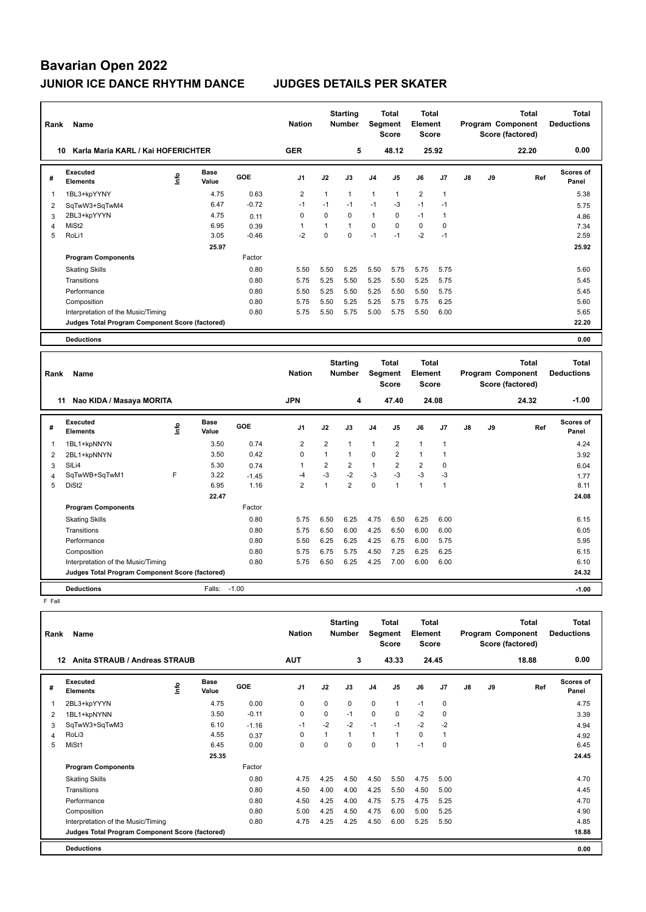| Rank           | Name<br>Karla Maria KARL / Kai HOFERICHTER      |      |                      | <b>Nation</b> |                | <b>Starting</b><br><b>Number</b> | <b>Segment</b>                   | Total<br><b>Score</b> | <b>Total</b><br>Element<br><b>Score</b> |                  |                |               | <b>Total</b><br>Program Component<br>Score (factored) | Total<br><b>Deductions</b>        |                                   |
|----------------|-------------------------------------------------|------|----------------------|---------------|----------------|----------------------------------|----------------------------------|-----------------------|-----------------------------------------|------------------|----------------|---------------|-------------------------------------------------------|-----------------------------------|-----------------------------------|
| 10             |                                                 |      |                      |               | <b>GER</b>     |                                  | 5                                |                       | 48.12                                   |                  | 25.92          |               |                                                       | 22.20                             | 0.00                              |
| #              | Executed<br><b>Elements</b>                     | ١nfo | <b>Base</b><br>Value | <b>GOE</b>    | J <sub>1</sub> | J2                               | J3                               | J <sub>4</sub>        | J <sub>5</sub>                          | J6               | J <sub>7</sub> | $\mathsf{J}8$ | J9                                                    | Ref                               | Scores of<br>Panel                |
| $\overline{1}$ | 1BL3+kpYYNY                                     |      | 4.75                 | 0.63          | $\overline{2}$ | 1                                | $\mathbf{1}$                     | $\mathbf{1}$          | $\mathbf{1}$                            | $\overline{2}$   | $\overline{1}$ |               |                                                       |                                   | 5.38                              |
| 2              | SqTwW3+SqTwM4                                   |      | 6.47                 | $-0.72$       | $-1$           | $-1$                             | $-1$                             | $-1$                  | $-3$                                    | $-1$             | $-1$           |               |                                                       |                                   | 5.75                              |
| 3              | 2BL3+kpYYYN                                     |      | 4.75                 | 0.11          | $\Omega$       | $\Omega$                         | 0                                | $\mathbf{1}$          | 0                                       | $-1$             | $\mathbf{1}$   |               |                                                       |                                   | 4.86                              |
| $\overline{4}$ | MiSt <sub>2</sub>                               |      | 6.95                 | 0.39          | $\mathbf{1}$   | 1                                | 1                                | $\mathbf 0$           | $\Omega$                                | 0                | 0              |               |                                                       |                                   | 7.34                              |
| 5              | RoLi1                                           |      | 3.05                 | $-0.46$       | $-2$           | $\Omega$                         | 0                                | $-1$                  | $-1$                                    | $-2$             | $-1$           |               |                                                       |                                   | 2.59                              |
|                |                                                 |      | 25.97                |               |                |                                  |                                  |                       |                                         |                  |                |               |                                                       |                                   | 25.92                             |
|                | <b>Program Components</b>                       |      |                      | Factor        |                |                                  |                                  |                       |                                         |                  |                |               |                                                       |                                   |                                   |
|                | <b>Skating Skills</b>                           |      |                      | 0.80          | 5.50           | 5.50                             | 5.25                             | 5.50                  | 5.75                                    | 5.75             | 5.75           |               |                                                       |                                   | 5.60                              |
|                | Transitions                                     |      |                      | 0.80          | 5.75           | 5.25                             | 5.50                             | 5.25                  | 5.50                                    | 5.25             | 5.75           |               |                                                       |                                   | 5.45                              |
|                | Performance                                     |      |                      | 0.80          | 5.50           | 5.25                             | 5.50                             | 5.25                  | 5.50                                    | 5.50             | 5.75           |               |                                                       |                                   | 5.45                              |
|                | Composition                                     |      |                      | 0.80          | 5.75           | 5.50                             | 5.25                             | 5.25                  | 5.75                                    | 5.75             | 6.25           |               |                                                       |                                   | 5.60                              |
|                | Interpretation of the Music/Timing              |      |                      | 0.80          | 5.75           | 5.50                             | 5.75                             | 5.00                  | 5.75                                    | 5.50             | 6.00           |               |                                                       |                                   | 5.65                              |
|                | Judges Total Program Component Score (factored) |      |                      |               |                |                                  |                                  |                       |                                         |                  |                |               |                                                       |                                   | 22.20                             |
|                | <b>Deductions</b>                               |      |                      |               |                |                                  |                                  |                       |                                         |                  |                |               |                                                       |                                   | 0.00                              |
|                | Daniel Manna                                    |      |                      |               | <b>Mation</b>  |                                  | <b>Starting</b><br><b>Number</b> | Gamma <sub>1</sub>    | Total                                   | Total<br>Element |                |               |                                                       | <b>Total</b><br>Drogram Component | <b>Total</b><br><b>Deductions</b> |

| Rank | Name                                            |      |                      |         | <b>Nation</b>  |                | Number         | Segment        | <b>Score</b>   | Element<br>Score |      |    |    | Program Component<br>Score (factored) | <b>Deductions</b>         |  |
|------|-------------------------------------------------|------|----------------------|---------|----------------|----------------|----------------|----------------|----------------|------------------|------|----|----|---------------------------------------|---------------------------|--|
|      | Nao KIDA / Masaya MORITA<br>11                  |      |                      |         | <b>JPN</b>     |                | 4              |                | 47.40          | 24.08            |      |    |    | 24.32                                 | $-1.00$                   |  |
| #    | Executed<br><b>Elements</b>                     | ١nf٥ | <b>Base</b><br>Value | GOE     | J <sub>1</sub> | J2             | J3             | J <sub>4</sub> | J <sub>5</sub> | J6               | J7   | J8 | J9 | Ref                                   | <b>Scores of</b><br>Panel |  |
|      | 1BL1+kpNNYN                                     |      | 3.50                 | 0.74    | 2              | $\overline{2}$ |                | 1              | $\overline{2}$ | $\mathbf{1}$     |      |    |    |                                       | 4.24                      |  |
| 2    | 2BL1+kpNNYN                                     |      | 3.50                 | 0.42    | $\mathbf 0$    |                |                | $\mathbf 0$    | $\overline{2}$ | $\mathbf{1}$     |      |    |    |                                       | 3.92                      |  |
| 3    | SILi4                                           |      | 5.30                 | 0.74    | 1              | 2              | 2              | 1              | $\overline{2}$ | $\overline{2}$   | 0    |    |    |                                       | 6.04                      |  |
| 4    | SqTwWB+SqTwM1                                   | F    | 3.22                 | $-1.45$ | -4             | $-3$           | $-2$           | $-3$           | $-3$           | $-3$             | $-3$ |    |    |                                       | 1.77                      |  |
| 5    | DiSt <sub>2</sub>                               |      | 6.95                 | 1.16    | $\overline{2}$ |                | $\overline{2}$ | $\mathbf 0$    |                | $\mathbf{1}$     |      |    |    |                                       | 8.11                      |  |
|      |                                                 |      | 22.47                |         |                |                |                |                |                |                  |      |    |    |                                       | 24.08                     |  |
|      | <b>Program Components</b>                       |      |                      | Factor  |                |                |                |                |                |                  |      |    |    |                                       |                           |  |
|      | <b>Skating Skills</b>                           |      |                      | 0.80    | 5.75           | 6.50           | 6.25           | 4.75           | 6.50           | 6.25             | 6.00 |    |    |                                       | 6.15                      |  |
|      | Transitions                                     |      |                      | 0.80    | 5.75           | 6.50           | 6.00           | 4.25           | 6.50           | 6.00             | 6.00 |    |    |                                       | 6.05                      |  |
|      | Performance                                     |      |                      | 0.80    | 5.50           | 6.25           | 6.25           | 4.25           | 6.75           | 6.00             | 5.75 |    |    |                                       | 5.95                      |  |
|      | Composition                                     |      |                      | 0.80    | 5.75           | 6.75           | 5.75           | 4.50           | 7.25           | 6.25             | 6.25 |    |    |                                       | 6.15                      |  |
|      | Interpretation of the Music/Timing              |      |                      | 0.80    | 5.75           | 6.50           | 6.25           | 4.25           | 7.00           | 6.00             | 6.00 |    |    |                                       | 6.10                      |  |
|      | Judges Total Program Component Score (factored) |      |                      |         |                |                |                |                |                |                  |      |    |    |                                       | 24.32                     |  |
|      | <b>Deductions</b>                               |      | Falls:               | $-1.00$ |                |                |                |                |                |                  |      |    |    |                                       | $-1.00$                   |  |

F Fall

| Rank | Name                                            |   | <b>Nation</b>        |         | <b>Starting</b><br><b>Number</b> | Segment  | Total<br><b>Score</b> | <b>Total</b><br>Element<br><b>Score</b> |                |          |                | <b>Total</b><br>Program Component<br>Score (factored) | <b>Total</b><br><b>Deductions</b> |       |                           |
|------|-------------------------------------------------|---|----------------------|---------|----------------------------------|----------|-----------------------|-----------------------------------------|----------------|----------|----------------|-------------------------------------------------------|-----------------------------------|-------|---------------------------|
| 12   | Anita STRAUB / Andreas STRAUB                   |   |                      |         | <b>AUT</b>                       |          | 3                     |                                         | 43.33          |          | 24.45          |                                                       |                                   | 18.88 | 0.00                      |
| #    | Executed<br><b>Elements</b>                     | ۴ | <b>Base</b><br>Value | GOE     | J <sub>1</sub>                   | J2       | J3                    | J <sub>4</sub>                          | J <sub>5</sub> | J6       | J <sub>7</sub> | J8                                                    | J9                                | Ref   | <b>Scores of</b><br>Panel |
| 1    | 2BL3+kpYYYN                                     |   | 4.75                 | 0.00    | $\Omega$                         | $\Omega$ | 0                     | $\mathbf 0$                             | $\mathbf{1}$   | $-1$     | 0              |                                                       |                                   |       | 4.75                      |
| 2    | 1BL1+kpNYNN                                     |   | 3.50                 | $-0.11$ | 0                                | $\Omega$ | $-1$                  | $\mathbf 0$                             | 0              | $-2$     | 0              |                                                       |                                   |       | 3.39                      |
| 3    | SqTwW3+SqTwM3                                   |   | 6.10                 | $-1.16$ | $-1$                             | $-2$     | $-2$                  | $-1$                                    | $-1$           | $-2$     | $-2$           |                                                       |                                   |       | 4.94                      |
| 4    | RoLi3                                           |   | 4.55                 | 0.37    | 0                                | 1        | $\mathbf{1}$          | $\mathbf{1}$                            | $\mathbf{1}$   | $\Omega$ | $\overline{1}$ |                                                       |                                   |       | 4.92                      |
| 5    | MiSt1                                           |   | 6.45                 | 0.00    | $\Omega$                         | $\Omega$ | $\Omega$              | $\Omega$                                | 1              | $-1$     | $\Omega$       |                                                       |                                   |       | 6.45                      |
|      |                                                 |   | 25.35                |         |                                  |          |                       |                                         |                |          |                |                                                       |                                   |       | 24.45                     |
|      | <b>Program Components</b>                       |   |                      | Factor  |                                  |          |                       |                                         |                |          |                |                                                       |                                   |       |                           |
|      | <b>Skating Skills</b>                           |   |                      | 0.80    | 4.75                             | 4.25     | 4.50                  | 4.50                                    | 5.50           | 4.75     | 5.00           |                                                       |                                   |       | 4.70                      |
|      | Transitions                                     |   |                      | 0.80    | 4.50                             | 4.00     | 4.00                  | 4.25                                    | 5.50           | 4.50     | 5.00           |                                                       |                                   |       | 4.45                      |
|      | Performance                                     |   |                      | 0.80    | 4.50                             | 4.25     | 4.00                  | 4.75                                    | 5.75           | 4.75     | 5.25           |                                                       |                                   |       | 4.70                      |
|      | Composition                                     |   |                      | 0.80    | 5.00                             | 4.25     | 4.50                  | 4.75                                    | 6.00           | 5.00     | 5.25           |                                                       |                                   |       | 4.90                      |
|      | Interpretation of the Music/Timing              |   |                      | 0.80    | 4.75                             | 4.25     | 4.25                  | 4.50                                    | 6.00           | 5.25     | 5.50           |                                                       |                                   |       | 4.85                      |
|      | Judges Total Program Component Score (factored) |   |                      |         |                                  |          |                       |                                         |                |          |                |                                                       |                                   |       | 18.88                     |
|      | <b>Deductions</b>                               |   |                      |         |                                  |          |                       |                                         |                |          |                |                                                       |                                   |       | 0.00                      |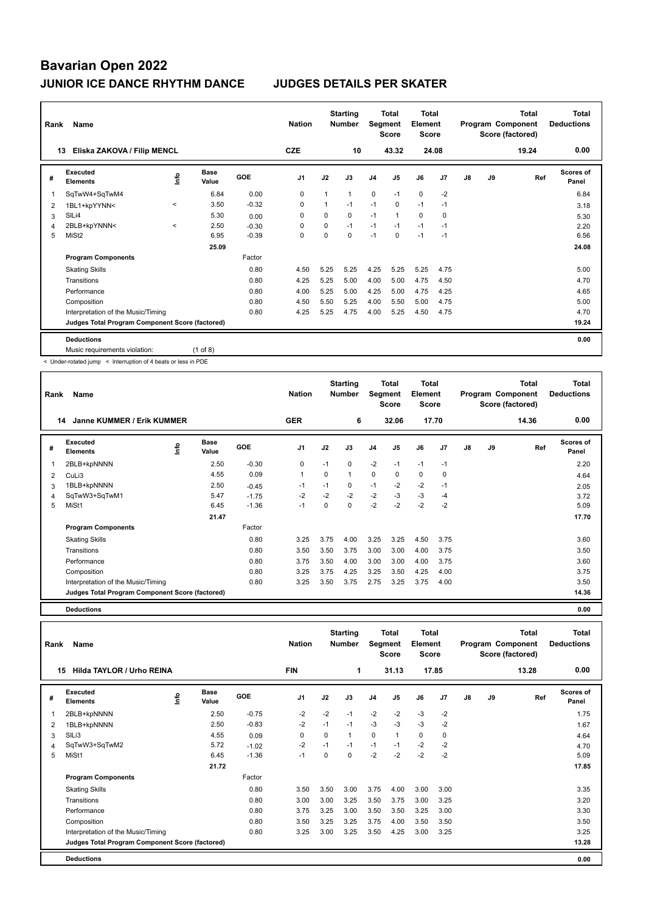| Rank | Name                                            |              |                      |            | <b>Nation</b>  |          | <b>Starting</b><br><b>Number</b> | Segment        | <b>Total</b><br><b>Score</b> | <b>Total</b><br>Element<br><b>Score</b> |                |    |    | <b>Total</b><br>Program Component<br>Score (factored) | <b>Total</b><br><b>Deductions</b> |
|------|-------------------------------------------------|--------------|----------------------|------------|----------------|----------|----------------------------------|----------------|------------------------------|-----------------------------------------|----------------|----|----|-------------------------------------------------------|-----------------------------------|
| 13   | Eliska ZAKOVA / Filip MENCL                     |              |                      |            | <b>CZE</b>     |          | 10                               |                | 43.32                        |                                         | 24.08          |    |    | 19.24                                                 | 0.00                              |
| #    | Executed<br><b>Elements</b>                     | ۴٥           | <b>Base</b><br>Value | <b>GOE</b> | J <sub>1</sub> | J2       | J3                               | J <sub>4</sub> | J <sub>5</sub>               | J6                                      | J <sub>7</sub> | J8 | J9 | Ref                                                   | Scores of<br>Panel                |
| 1    | SqTwW4+SqTwM4                                   |              | 6.84                 | 0.00       | $\mathbf 0$    | 1        | $\mathbf{1}$                     | $\mathbf 0$    | $-1$                         | $\mathbf 0$                             | $-2$           |    |    |                                                       | 6.84                              |
| 2    | 1BL1+kpYYNN<                                    | $\checkmark$ | 3.50                 | $-0.32$    | 0              |          | $-1$                             | $-1$           | 0                            | $-1$                                    | $-1$           |    |    |                                                       | 3.18                              |
| 3    | SILi4                                           |              | 5.30                 | 0.00       | 0              | $\Omega$ | $\Omega$                         | $-1$           | $\mathbf{1}$                 | $\mathbf 0$                             | $\mathbf 0$    |    |    |                                                       | 5.30                              |
| 4    | 2BLB+kpYNNN<                                    | $\prec$      | 2.50                 | $-0.30$    | 0              | 0        | $-1$                             | $-1$           | $-1$                         | $-1$                                    | $-1$           |    |    |                                                       | 2.20                              |
| 5    | MiSt <sub>2</sub>                               |              | 6.95                 | $-0.39$    | 0              | $\Omega$ | $\Omega$                         | $-1$           | $\Omega$                     | $-1$                                    | $-1$           |    |    |                                                       | 6.56                              |
|      |                                                 |              | 25.09                |            |                |          |                                  |                |                              |                                         |                |    |    |                                                       | 24.08                             |
|      | <b>Program Components</b>                       |              |                      | Factor     |                |          |                                  |                |                              |                                         |                |    |    |                                                       |                                   |
|      | <b>Skating Skills</b>                           |              |                      | 0.80       | 4.50           | 5.25     | 5.25                             | 4.25           | 5.25                         | 5.25                                    | 4.75           |    |    |                                                       | 5.00                              |
|      | Transitions                                     |              |                      | 0.80       | 4.25           | 5.25     | 5.00                             | 4.00           | 5.00                         | 4.75                                    | 4.50           |    |    |                                                       | 4.70                              |
|      | Performance                                     |              |                      | 0.80       | 4.00           | 5.25     | 5.00                             | 4.25           | 5.00                         | 4.75                                    | 4.25           |    |    |                                                       | 4.65                              |
|      | Composition                                     |              |                      | 0.80       | 4.50           | 5.50     | 5.25                             | 4.00           | 5.50                         | 5.00                                    | 4.75           |    |    |                                                       | 5.00                              |
|      | Interpretation of the Music/Timing              |              |                      | 0.80       | 4.25           | 5.25     | 4.75                             | 4.00           | 5.25                         | 4.50                                    | 4.75           |    |    |                                                       | 4.70                              |
|      | Judges Total Program Component Score (factored) |              |                      |            |                |          |                                  |                |                              |                                         |                |    |    |                                                       | 19.24                             |
|      | <b>Deductions</b>                               |              |                      |            |                |          |                                  |                |                              |                                         |                |    |    |                                                       | 0.00                              |
|      | Music requirements violation:                   |              | $(1$ of 8)           |            |                |          |                                  |                |                              |                                         |                |    |    |                                                       |                                   |

< Under-rotated jump < Interruption of 4 beats or less in PDE

| Rank | Name                                            |   | <b>Nation</b>        |         | <b>Starting</b><br><b>Number</b> | <b>Segment</b> | Total<br><b>Score</b> | <b>Total</b><br>Element<br><b>Score</b> |                |      |                | <b>Total</b><br>Program Component<br>Score (factored) | <b>Total</b><br><b>Deductions</b> |       |                           |
|------|-------------------------------------------------|---|----------------------|---------|----------------------------------|----------------|-----------------------|-----------------------------------------|----------------|------|----------------|-------------------------------------------------------|-----------------------------------|-------|---------------------------|
|      | Janne KUMMER / Erik KUMMER<br>14                |   |                      |         | <b>GER</b>                       |                | 6                     |                                         | 32.06          |      | 17.70          |                                                       |                                   | 14.36 | 0.00                      |
| #    | <b>Executed</b><br><b>Elements</b>              | 을 | <b>Base</b><br>Value | GOE     | J <sub>1</sub>                   | J2             | J3                    | J <sub>4</sub>                          | J <sub>5</sub> | J6   | J <sub>7</sub> | $\mathsf{J}8$                                         | J9                                | Ref   | <b>Scores of</b><br>Panel |
| 1    | 2BLB+kpNNNN                                     |   | 2.50                 | $-0.30$ | 0                                | $-1$           | 0                     | $-2$                                    | $-1$           | $-1$ | $-1$           |                                                       |                                   |       | 2.20                      |
| 2    | CuLi3                                           |   | 4.55                 | 0.09    | 1                                | 0              | $\mathbf{1}$          | $\mathbf 0$                             | 0              | 0    | $\mathbf 0$    |                                                       |                                   |       | 4.64                      |
| 3    | 1BLB+kpNNNN                                     |   | 2.50                 | $-0.45$ | $-1$                             | $-1$           | 0                     | $-1$                                    | $-2$           | $-2$ | $-1$           |                                                       |                                   |       | 2.05                      |
| 4    | SqTwW3+SqTwM1                                   |   | 5.47                 | $-1.75$ | $-2$                             | $-2$           | $-2$                  | $-2$                                    | $-3$           | $-3$ | $-4$           |                                                       |                                   |       | 3.72                      |
| 5    | MiSt1                                           |   | 6.45                 | $-1.36$ | $-1$                             | 0              | 0                     | $-2$                                    | $-2$           | $-2$ | $-2$           |                                                       |                                   |       | 5.09                      |
|      |                                                 |   | 21.47                |         |                                  |                |                       |                                         |                |      |                |                                                       |                                   |       | 17.70                     |
|      | <b>Program Components</b>                       |   |                      | Factor  |                                  |                |                       |                                         |                |      |                |                                                       |                                   |       |                           |
|      | <b>Skating Skills</b>                           |   |                      | 0.80    | 3.25                             | 3.75           | 4.00                  | 3.25                                    | 3.25           | 4.50 | 3.75           |                                                       |                                   |       | 3.60                      |
|      | Transitions                                     |   |                      | 0.80    | 3.50                             | 3.50           | 3.75                  | 3.00                                    | 3.00           | 4.00 | 3.75           |                                                       |                                   |       | 3.50                      |
|      | Performance                                     |   |                      | 0.80    | 3.75                             | 3.50           | 4.00                  | 3.00                                    | 3.00           | 4.00 | 3.75           |                                                       |                                   |       | 3.60                      |
|      | Composition                                     |   |                      | 0.80    | 3.25                             | 3.75           | 4.25                  | 3.25                                    | 3.50           | 4.25 | 4.00           |                                                       |                                   |       | 3.75                      |
|      | Interpretation of the Music/Timing              |   |                      | 0.80    | 3.25                             | 3.50           | 3.75                  | 2.75                                    | 3.25           | 3.75 | 4.00           |                                                       |                                   |       | 3.50                      |
|      | Judges Total Program Component Score (factored) |   |                      |         |                                  |                |                       |                                         |                |      |                |                                                       |                                   |       | 14.36                     |
|      | <b>Deductions</b>                               |   |                      |         |                                  |                |                       |                                         |                |      |                |                                                       |                                   |       | 0.00                      |

| Name<br>Rank |                                                 |      |                      |         | <b>Nation</b>  |          | <b>Starting</b><br><b>Number</b> | Total<br>Segment<br><b>Score</b> |                | Total<br>Element<br><b>Score</b> |                | <b>Total</b><br>Program Component<br>Score (factored) |    |       | Total<br><b>Deductions</b> |
|--------------|-------------------------------------------------|------|----------------------|---------|----------------|----------|----------------------------------|----------------------------------|----------------|----------------------------------|----------------|-------------------------------------------------------|----|-------|----------------------------|
|              | Hilda TAYLOR / Urho REINA<br>15                 |      |                      |         | <b>FIN</b>     |          | 1                                |                                  | 31.13          |                                  | 17.85          |                                                       |    | 13.28 | 0.00                       |
| #            | Executed<br><b>Elements</b>                     | lnfo | <b>Base</b><br>Value | GOE     | J <sub>1</sub> | J2       | J3                               | J <sub>4</sub>                   | J <sub>5</sub> | J6                               | J <sub>7</sub> | J8                                                    | J9 | Ref   | Scores of<br>Panel         |
| 1            | 2BLB+kpNNNN                                     |      | 2.50                 | $-0.75$ | $-2$           | $-2$     | $-1$                             | $-2$                             | $-2$           | $-3$                             | $-2$           |                                                       |    |       | 1.75                       |
| 2            | 1BLB+kpNNNN                                     |      | 2.50                 | $-0.83$ | $-2$           | $-1$     | $-1$                             | $-3$                             | $-3$           | $-3$                             | $-2$           |                                                       |    |       | 1.67                       |
| 3            | SIL <sub>i3</sub>                               |      | 4.55                 | 0.09    | 0              | 0        | $\mathbf{1}$                     | 0                                | 1              | 0                                | $\mathbf 0$    |                                                       |    |       | 4.64                       |
| 4            | SqTwW3+SqTwM2                                   |      | 5.72                 | $-1.02$ | $-2$           | $-1$     | $-1$                             | $-1$                             | $-1$           | $-2$                             | $-2$           |                                                       |    |       | 4.70                       |
| 5            | MiSt1                                           |      | 6.45                 | $-1.36$ | $-1$           | $\Omega$ | $\Omega$                         | $-2$                             | $-2$           | $-2$                             | $-2$           |                                                       |    |       | 5.09                       |
|              |                                                 |      | 21.72                |         |                |          |                                  |                                  |                |                                  |                |                                                       |    |       | 17.85                      |
|              | <b>Program Components</b>                       |      |                      | Factor  |                |          |                                  |                                  |                |                                  |                |                                                       |    |       |                            |
|              | <b>Skating Skills</b>                           |      |                      | 0.80    | 3.50           | 3.50     | 3.00                             | 3.75                             | 4.00           | 3.00                             | 3.00           |                                                       |    |       | 3.35                       |
|              | Transitions                                     |      |                      | 0.80    | 3.00           | 3.00     | 3.25                             | 3.50                             | 3.75           | 3.00                             | 3.25           |                                                       |    |       | 3.20                       |
|              | Performance                                     |      |                      | 0.80    | 3.75           | 3.25     | 3.00                             | 3.50                             | 3.50           | 3.25                             | 3.00           |                                                       |    |       | 3.30                       |
|              | Composition                                     |      |                      | 0.80    | 3.50           | 3.25     | 3.25                             | 3.75                             | 4.00           | 3.50                             | 3.50           |                                                       |    |       | 3.50                       |
|              | Interpretation of the Music/Timing              |      |                      | 0.80    | 3.25           | 3.00     | 3.25                             | 3.50                             | 4.25           | 3.00                             | 3.25           |                                                       |    |       | 3.25                       |
|              | Judges Total Program Component Score (factored) |      |                      |         |                |          |                                  |                                  |                |                                  |                |                                                       |    |       | 13.28                      |
|              | <b>Deductions</b>                               |      |                      |         |                |          |                                  |                                  |                |                                  |                |                                                       |    |       | 0.00                       |